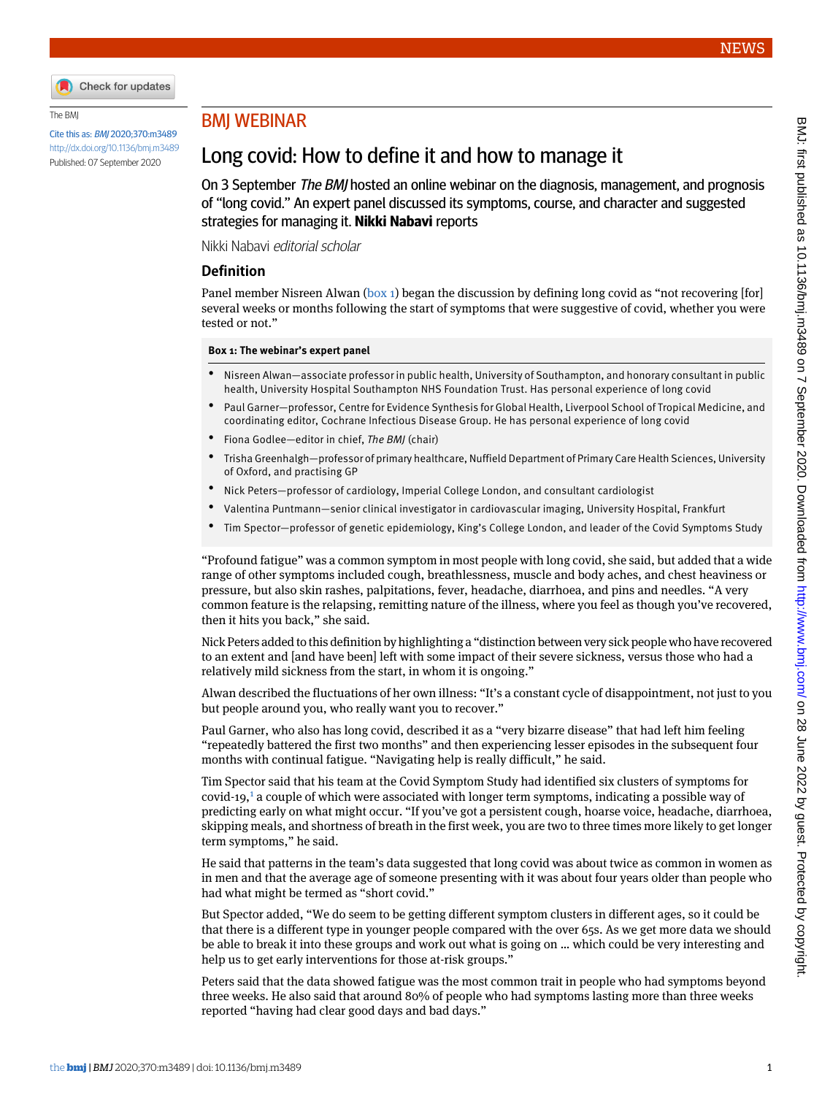

#### The BMJ

Cite this as: BMJ 2020;370:m3489 <http://dx.doi.org/10.1136/bmj.m3489> Published: 07 September 2020

# BMJ WEBINAR

# Long covid: How to define it and how to manage it

On 3 September *The BMJ* hosted an online webinar on the diagnosis, management, and prognosis of "long covid." An expert panel discussed its symptoms, course, and character and suggested strategies for managing it. **Nikki Nabavi** reports

Nikki Nabavi editorial scholar

### **Definition**

<span id="page-0-0"></span>Panel member Nisreen Alwan [\(box 1](#page-0-0)) began the discussion by defining long covid as "not recovering [for] several weeks or months following the start of symptoms that were suggestive of covid, whether you were tested or not."

#### **Box 1: The webinar's expert panel**

- Nisreen Alwan—associate professor in public health, University of Southampton, and honorary consultant in public health, University Hospital Southampton NHS Foundation Trust. Has personal experience of long covid
- Paul Garner—professor, Centre for Evidence Synthesis for Global Health, Liverpool School of Tropical Medicine, and coordinating editor, Cochrane Infectious Disease Group. He has personal experience of long covid
- Fiona Godlee—editor in chief, *The BMJ* (chair)
- Trisha Greenhalgh—professor of primary healthcare, Nuffield Department of Primary Care Health Sciences, University of Oxford, and practising GP
- Nick Peters—professor of cardiology, Imperial College London, and consultant cardiologist
- Valentina Puntmann—senior clinical investigator in cardiovascular imaging, University Hospital, Frankfurt
- Tim Spector—professor of genetic epidemiology, King's College London, and leader of the Covid Symptoms Study

"Profound fatigue" was a common symptom in most people with long covid, she said, but added that a wide range of other symptoms included cough, breathlessness, muscle and body aches, and chest heaviness or pressure, but also skin rashes, palpitations, fever, headache, diarrhoea, and pins and needles. "A very common feature is the relapsing, remitting nature of the illness, where you feel as though you've recovered, then it hits you back," she said.

Nick Peters added to this definition by highlighting a "distinction between very sick people who have recovered to an extent and [and have been] left with some impact of their severe sickness, versus those who had a relatively mild sickness from the start, in whom it is ongoing."

Alwan described the fluctuations of her own illness: "It's a constant cycle of disappointment, not just to you but people around you, who really want you to recover."

Paul Garner, who also has long covid, described it as a "very bizarre disease" that had left him feeling "repeatedly battered the first two months" and then experiencing lesser episodes in the subsequent four months with continual fatigue. "Navigating help is really difficult," he said.

Tim Spector said that his team at the Covid Symptom Study had identified six clusters of symptoms for covid-19,[1](#page-1-0) a couple of which were associated with longer term symptoms, indicating a possible way of predicting early on what might occur. "If you've got a persistent cough, hoarse voice, headache, diarrhoea, skipping meals, and shortness of breath in the first week, you are two to three times more likely to get longer term symptoms," he said.

He said that patterns in the team's data suggested that long covid was about twice as common in women as in men and that the average age of someone presenting with it was about four years older than people who had what might be termed as "short covid."

But Spector added, "We do seem to be getting different symptom clusters in different ages, so it could be that there is a different type in younger people compared with the over 65s. As we get more data we should be able to break it into these groups and work out what is going on … which could be very interesting and help us to get early interventions for those at-risk groups."

Peters said that the data showed fatigue was the most common trait in people who had symptoms beyond three weeks. He also said that around 80% of people who had symptoms lasting more than three weeks reported "having had clear good days and bad days."